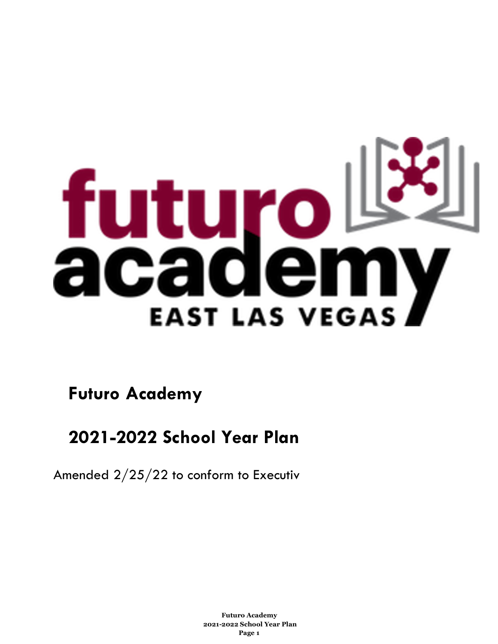

**Futuro Academy** 

# **2021-2022 School Year Plan**

Amended 2/25/22 to conform to Executiv

**Futuro Academy 2021-2022 School Year Plan Page 1**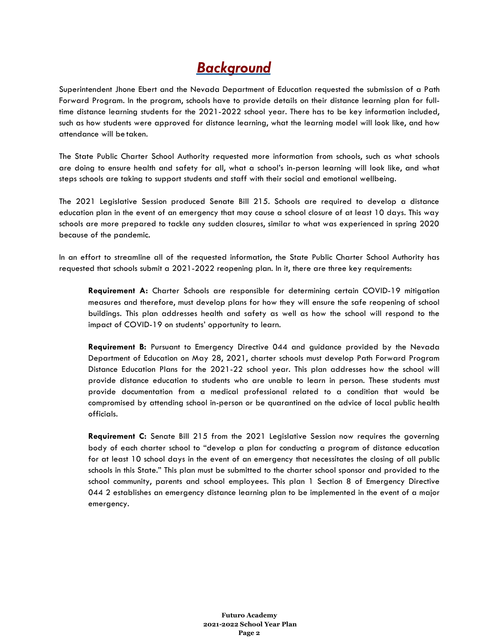# *Background*

Superintendent Jhone Ebert and the Nevada Department of Education requested the submission of a Path Forward Program. In the program, schools have to provide details on their distance learning plan for fulltime distance learning students for the 2021-2022 school year. There has to be key information included, such as how students were approved for distance learning, what the learning model will look like, and how attendance will be taken.

The State Public Charter School Authority requested more information from schools, such as what schools are doing to ensure health and safety for all, what a school's in-person learning will look like, and what steps schools are taking to support students and staff with their social and emotional wellbeing.

The 2021 Legislative Session produced Senate Bill 215. Schools are required to develop a distance education plan in the event of an emergency that may cause a school closure of at least 10 days. This way schools are more prepared to tackle any sudden closures, similar to what was experienced in spring 2020 because of the pandemic.

In an effort to streamline all of the requested information, the State Public Charter School Authority has requested that schools submit a 2021-2022 reopening plan. In it, there are three key requirements:

**Requirement A:** Charter Schools are responsible for determining certain COVID-19 mitigation measures and therefore, must develop plans for how they will ensure the safe reopening of school buildings. This plan addresses health and safety as well as how the school will respond to the impact of COVID-19 on students' opportunity to learn.

**Requirement B:** Pursuant to Emergency Directive 044 and guidance provided by the Nevada Department of Education on May 28, 2021, charter schools must develop Path Forward Program Distance Education Plans for the 2021-22 school year. This plan addresses how the school will provide distance education to students who are unable to learn in person. These students must provide documentation from a medical professional related to a condition that would be compromised by attending school in-person or be quarantined on the advice of local public health officials.

**Requirement C:** Senate Bill 215 from the 2021 Legislative Session now requires the governing body of each charter school to "develop a plan for conducting a program of distance education for at least 10 school days in the event of an emergency that necessitates the closing of all public schools in this State." This plan must be submitted to the charter school sponsor and provided to the school community, parents and school employees. This plan 1 Section 8 of Emergency Directive 044 2 establishes an emergency distance learning plan to be implemented in the event of a major emergency.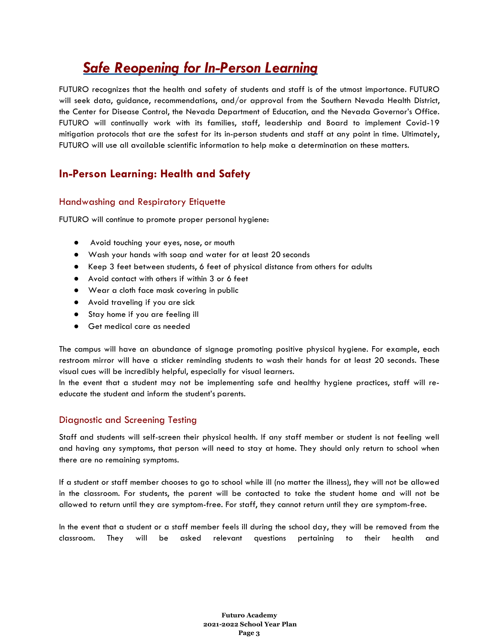# *Safe Reopening for In-Person Learning*

FUTURO recognizes that the health and safety of students and staff is of the utmost importance. FUTURO will seek data, guidance, recommendations, and/or approval from the Southern Nevada Health District, the Center for Disease Control, the Nevada Department of Education, and the Nevada Governor's Office. FUTURO will continually work with its families, staff, leadership and Board to implement Covid-19 mitigation protocols that are the safest for its in-person students and staff at any point in time. Ultimately, FUTURO will use all available scientific information to help make a determination on these matters.

# **In-Person Learning: Health and Safety**

### Handwashing and Respiratory Etiquette

FUTURO will continue to promote proper personal hygiene:

- Avoid touching your eyes, nose, or mouth
- Wash your hands with soap and water for at least 20 seconds
- Keep 3 feet between students, 6 feet of physical distance from others for adults
- Avoid contact with others if within 3 or 6 feet
- Wear a cloth face mask covering in public
- Avoid traveling if you are sick
- Stay home if you are feeling ill
- Get medical care as needed

The campus will have an abundance of signage promoting positive physical hygiene. For example, each restroom mirror will have a sticker reminding students to wash their hands for at least 20 seconds. These visual cues will be incredibly helpful, especially for visual learners.

In the event that a student may not be implementing safe and healthy hygiene practices, staff will reeducate the student and inform the student's parents.

### Diagnostic and Screening Testing

Staff and students will self-screen their physical health. If any staff member or student is not feeling well and having any symptoms, that person will need to stay at home. They should only return to school when there are no remaining symptoms.

If a student or staff member chooses to go to school while ill (no matter the illness), they will not be allowed in the classroom. For students, the parent will be contacted to take the student home and will not be allowed to return until they are symptom-free. For staff, they cannot return until they are symptom-free.

In the event that a student or a staff member feels ill during the school day, they will be removed from the classroom. They will be asked relevant questions pertaining to their health and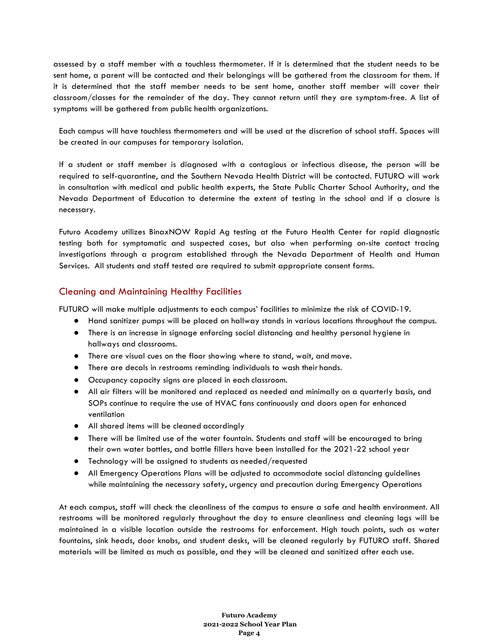assessed by a staff member with a touchless thermometer. If it is determined that the student needs to be sent home, a parent will be contacted and their belongings will be gathered from the classroom for them. If it is determined that the staff member needs to be sent home, another staff member will cover their classroom/classes for the remainder of the day. They cannot return until they are symptom-free. A list of symptoms will be gathered from public health organizations.

Each campus will have touchless thermometers and will be used at the discretion of school staff. Spaces will be created in our campuses for temporary isolation.

If a student or staff member is diagnosed with a contagious or infectious disease, the person will be required to self-quarantine, and the Southern Nevada Health District will be contacted. FUTURO will work in consultation with medical and public health experts, the State Public Charter School Authority, and the Nevada Department of Education to determine the extent of testing in the school and if a closure is necessary.

Futuro Academy utilizes BinaxNOW Rapid Ag testing at the Futuro Health Center for rapid diagnostic testing both for symptomatic and suspected cases, but also when performing on-site contact tracing investigations through a program established through the Nevada Department of Health and Human Services. All students and staff tested are required to submit appropriate consent forms.

#### Cleaning and Maintaining Healthy Facilities

FUTURO will make multiple adjustments to each campus' facilities to minimize the risk of COVID-19.

- Hand sanitizer pumps will be placed on hallway stands in various locations throughout the campus.
- There is an increase in signage enforcing social distancing and healthy personal hygiene in hallways and classrooms.
- There are visual cues on the floor showing where to stand, wait, and move.
- There are decals in restrooms reminding individuals to wash their hands.
- Occupancy capacity signs are placed in each classroom.
- All air filters will be monitored and replaced as needed and minimally on a quarterly basis, and SOPs continue to require the use of HVAC fans continuously and doors open for enhanced ventilation
- All shared items will be cleaned accordingly
- There will be limited use of the water fountain. Students and staff will be encouraged to bring their own water bottles, and bottle fillers have been installed for the 2021-22 school year
- Technology will be assigned to students as needed/requested
- All Emergency Operations Plans will be adjusted to accommodate social distancing guidelines while maintaining the necessary safety, urgency and precaution during Emergency Operations

At each campus, staff will check the cleanliness of the campus to ensure a safe and health environment. All restrooms will be monitored regularly throughout the day to ensure cleanliness and cleaning logs will be maintained in a visible location outside the restrooms for enforcement. High touch points, such as water fountains, sink heads, door knobs, and student desks, will be cleaned regularly by FUTURO staff. Shared materials will be limited as much as possible, and they will be cleaned and sanitized after each use.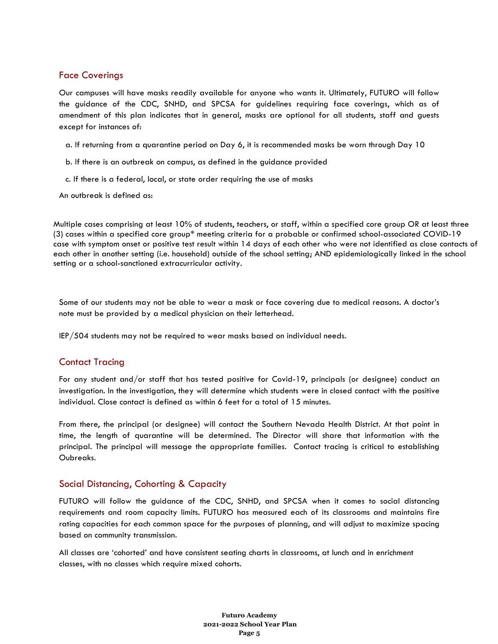#### Face Coverings

Our campuses will have masks readily available for anyone who wants it. Ultimately, FUTURO will follow the guidance of the CDC, SNHD, and SPCSA for guidelines requiring face coverings, which as of amendment of this plan indicates that in general, masks are optional for all students, staff and guests except for instances of:

- a. If returning from a quarantine period on Day 6, it is recommended masks be worn through Day 10
- b. If there is an outbreak on campus, as defined in the guidance provided
- c. If there is a federal, local, or state order requiring the use of masks

An outbreak is defined as:

Multiple cases comprising at least 10% of students, teachers, or staff, within a specified core group OR at least three (3) cases within a specified core group\* meeting criteria for a probable or confirmed school-associated COVID-19 case with symptom onset or positive test result within 14 days of each other who were not identified as close contacts of each other in another setting (i.e. household) outside of the school setting; AND epidemiologically linked in the school setting or a school-sanctioned extracurricular activity.

Some of our students may not be able to wear a mask or face covering due to medical reasons. A doctor's note must be provided by a medical physician on their letterhead.

IEP/504 students may not be required to wear masks based on individual needs.

### Contact Tracing

For any student and/or staff that has tested positive for Covid-19, principals (or designee) conduct an investigation. In the investigation, they will determine which students were in closed contact with the positive individual. Close contact is defined as within 6 feet for a total of 15 minutes.

From there, the principal (or designee) will contact the Southern Nevada Health District. At that point in time, the length of quarantine will be determined. The Director will share that information with the principal. The principal will message the appropriate families. Contact tracing is critical to establishing Oubreaks.

#### Social Distancing, Cohorting & Capacity

FUTURO will follow the guidance of the CDC, SNHD, and SPCSA when it comes to social distancing requirements and room capacity limits. FUTURO has measured each of its classrooms and maintains fire rating capacities for each common space for the purposes of planning, and will adjust to maximize spacing based on community transmission.

All classes are 'cohorted' and have consistent seating charts in classrooms, at lunch and in enrichment classes, with no classes which require mixed cohorts.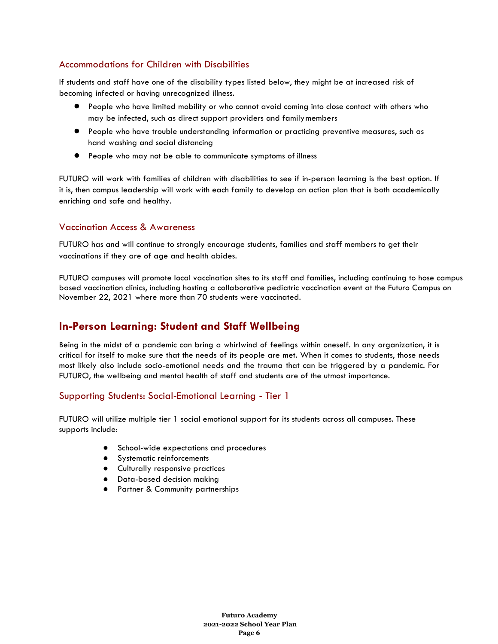### Accommodations for Children with Disabilities

If students and staff have one of the disability types listed below, they might be at increased risk of becoming infected or having unrecognized illness.

- People who have limited mobility or who cannot avoid coming into close contact with others who may be infected, such as direct support providers and familymembers
- People who have trouble understanding information or practicing preventive measures, such as hand washing and social distancing
- People who may not be able to communicate symptoms of illness

FUTURO will work with families of children with disabilities to see if in-person learning is the best option. If it is, then campus leadership will work with each family to develop an action plan that is both academically enriching and safe and healthy.

### Vaccination Access & Awareness

FUTURO has and will continue to strongly encourage students, families and staff members to get their vaccinations if they are of age and health abides.

FUTURO campuses will promote local vaccination sites to its staff and families, including continuing to hose campus based vaccination clinics, including hosting a collaborative pediatric vaccination event at the Futuro Campus on November 22, 2021 where more than 70 students were vaccinated.

## **In-Person Learning: Student and Staff Wellbeing**

Being in the midst of a pandemic can bring a whirlwind of feelings within oneself. In any organization, it is critical for itself to make sure that the needs of its people are met. When it comes to students, those needs most likely also include socio-emotional needs and the trauma that can be triggered by a pandemic. For FUTURO, the wellbeing and mental health of staff and students are of the utmost importance.

### Supporting Students: Social-Emotional Learning - Tier 1

FUTURO will utilize multiple tier 1 social emotional support for its students across all campuses. These supports include:

- School-wide expectations and procedures
- Systematic reinforcements
- Culturally responsive practices
- Data-based decision making
- Partner & Community partnerships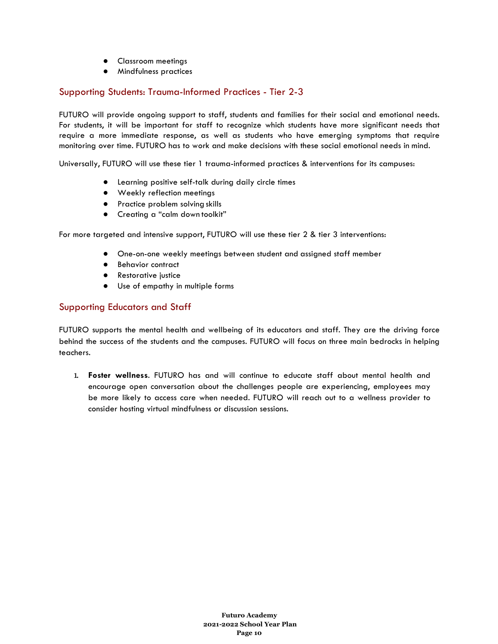- Classroom meetings
- Mindfulness practices

### Supporting Students: Trauma-Informed Practices - Tier 2-3

FUTURO will provide ongoing support to staff, students and families for their social and emotional needs. For students, it will be important for staff to recognize which students have more significant needs that require a more immediate response, as well as students who have emerging symptoms that require monitoring over time. FUTURO has to work and make decisions with these social emotional needs in mind.

Universally, FUTURO will use these tier 1 trauma-informed practices & interventions for its campuses:

- Learning positive self-talk during daily circle times
- Weekly reflection meetings
- Practice problem solving skills
- Creating a "calm down toolkit"

For more targeted and intensive support, FUTURO will use these tier 2 & tier 3 interventions:

- One-on-one weekly meetings between student and assigned staff member
- Behavior contract
- Restorative justice
- Use of empathy in multiple forms

### Supporting Educators and Staff

FUTURO supports the mental health and wellbeing of its educators and staff. They are the driving force behind the success of the students and the campuses. FUTURO will focus on three main bedrocks in helping teachers.

1. **Foster wellness**. FUTURO has and will continue to educate staff about mental health and encourage open conversation about the challenges people are experiencing, employees may be more likely to access care when needed. FUTURO will reach out to a wellness provider to consider hosting virtual mindfulness or discussion sessions.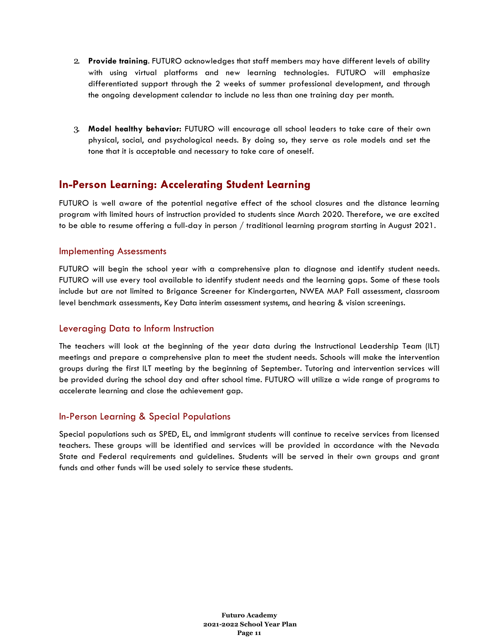- 2. **Provide training**. FUTURO acknowledges that staff members may have different levels of ability with using virtual platforms and new learning technologies. FUTURO will emphasize differentiated support through the 2 weeks of summer professional development, and through the ongoing development calendar to include no less than one training day per month.
- 3. **Model healthy behavior:** FUTURO will encourage all school leaders to take care of their own physical, social, and psychological needs. By doing so, they serve as role models and set the tone that it is acceptable and necessary to take care of oneself.

### **In-Person Learning: Accelerating Student Learning**

FUTURO is well aware of the potential negative effect of the school closures and the distance learning program with limited hours of instruction provided to students since March 2020. Therefore, we are excited to be able to resume offering a full-day in person / traditional learning program starting in August 2021.

#### Implementing Assessments

FUTURO will begin the school year with a comprehensive plan to diagnose and identify student needs. FUTURO will use every tool available to identify student needs and the learning gaps. Some of these tools include but are not limited to Brigance Screener for Kindergarten, NWEA MAP Fall assessment, classroom level benchmark assessments, Key Data interim assessment systems, and hearing & vision screenings.

### Leveraging Data to Inform Instruction

The teachers will look at the beginning of the year data during the Instructional Leadership Team (ILT) meetings and prepare a comprehensive plan to meet the student needs. Schools will make the intervention groups during the first ILT meeting by the beginning of September. Tutoring and intervention services will be provided during the school day and after school time. FUTURO will utilize a wide range of programs to accelerate learning and close the achievement gap.

#### In-Person Learning & Special Populations

Special populations such as SPED, EL, and immigrant students will continue to receive services from licensed teachers. These groups will be identified and services will be provided in accordance with the Nevada State and Federal requirements and guidelines. Students will be served in their own groups and grant funds and other funds will be used solely to service these students.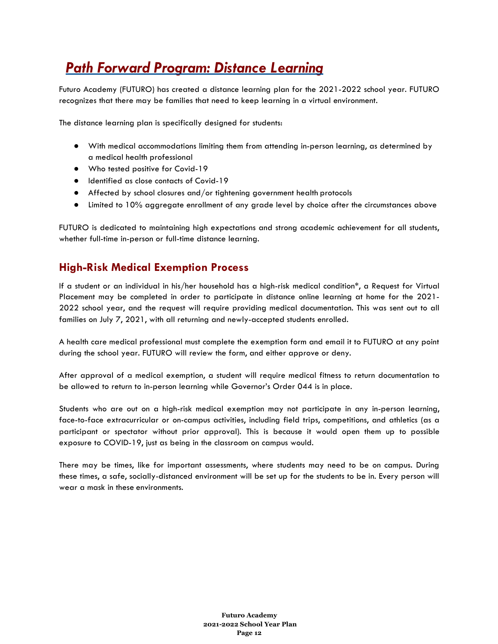# *Path Forward Program: Distance Learning*

Futuro Academy (FUTURO) has created a distance learning plan for the 2021-2022 school year. FUTURO recognizes that there may be families that need to keep learning in a virtual environment.

The distance learning plan is specifically designed for students:

- With medical accommodations limiting them from attending in-person learning, as determined by a medical health professional
- Who tested positive for Covid-19
- Identified as close contacts of Covid-19
- Affected by school closures and/or tightening government health protocols
- Limited to 10% aggregate enrollment of any grade level by choice after the circumstances above

FUTURO is dedicated to maintaining high expectations and strong academic achievement for all students, whether full-time in-person or full-time distance learning.

# **High-Risk Medical Exemption Process**

If a student or an individual in his/her household has a high-risk medical condition\*, a Request for Virtual Placement may be completed in order to participate in distance online learning at home for the 2021- 2022 school year, and the request will require providing medical documentation. This was sent out to all families on July 7, 2021, with all returning and newly-accepted students enrolled.

A health care medical professional must complete the exemption form and email it to FUTURO at any point during the school year. FUTURO will review the form, and either approve or deny.

After approval of a medical exemption, a student will require medical fitness to return documentation to be allowed to return to in-person learning while Governor's Order 044 is in place.

Students who are out on a high-risk medical exemption may not participate in any in-person learning, face-to-face extracurricular or on-campus activities, including field trips, competitions, and athletics (as a participant or spectator without prior approval). This is because it would open them up to possible exposure to COVID-19, just as being in the classroom on campus would.

There may be times, like for important assessments, where students may need to be on campus. During these times, a safe, socially-distanced environment will be set up for the students to be in. Every person will wear a mask in these environments.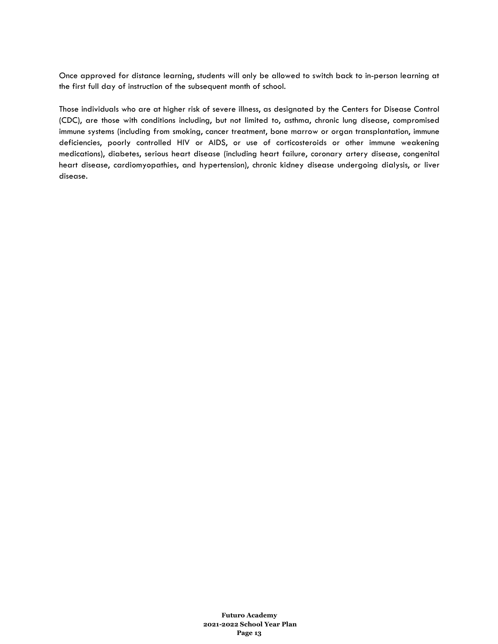Once approved for distance learning, students will only be allowed to switch back to in-person learning at the first full day of instruction of the subsequent month of school.

Those individuals who are at higher risk of severe illness, as designated by the Centers for Disease Control (CDC), are those with conditions including, but not limited to, asthma, chronic lung disease, compromised immune systems (including from smoking, cancer treatment, bone marrow or organ transplantation, immune deficiencies, poorly controlled HIV or AIDS, or use of corticosteroids or other immune weakening medications), diabetes, serious heart disease (including heart failure, coronary artery disease, congenital heart disease, cardiomyopathies, and hypertension), chronic kidney disease undergoing dialysis, or liver disease.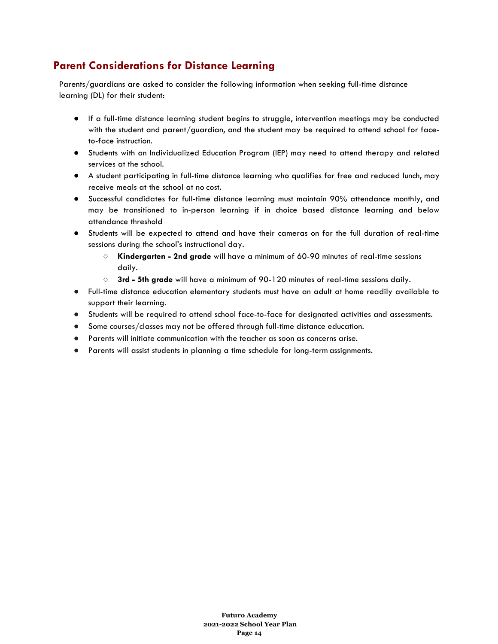# **Parent Considerations for Distance Learning**

Parents/guardians are asked to consider the following information when seeking full-time distance learning (DL) for their student:

- If a full-time distance learning student begins to struggle, intervention meetings may be conducted with the student and parent/guardian, and the student may be required to attend school for faceto-face instruction.
- Students with an Individualized Education Program (IEP) may need to attend therapy and related services at the school.
- A student participating in full-time distance learning who qualifies for free and reduced lunch, may receive meals at the school at no cost.
- Successful candidates for full-time distance learning must maintain 90% attendance monthly, and may be transitioned to in-person learning if in choice based distance learning and below attendance threshold
- Students will be expected to attend and have their cameras on for the full duration of real-time sessions during the school's instructional day.
	- **Kindergarten - 2nd grade** will have a minimum of 60-90 minutes of real-time sessions daily.
	- **3rd - 5th grade** will have a minimum of 90-120 minutes of real-time sessions daily.
- Full-time distance education elementary students must have an adult at home readily available to support their learning.
- Students will be required to attend school face-to-face for designated activities and assessments.
- Some courses/classes may not be offered through full-time distance education.
- Parents will initiate communication with the teacher as soon as concerns arise.
- Parents will assist students in planning a time schedule for long-term assignments.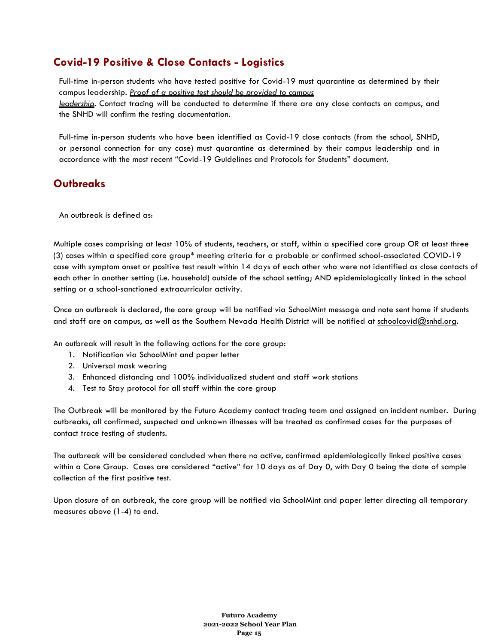# **Covid-19 Positive & Close Contacts - Logistics**

Full-time in-person students who have tested positive for Covid-19 must quarantine as determined by their campus leadership. *Proof of a positive test should be provided to campus leadership*. Contact tracing will be conducted to determine if there are any close contacts on campus, and the SNHD will confirm the testing documentation.

Full-time in-person students who have been identified as Covid-19 close contacts (from the school, SNHD, or personal connection for any case) must quarantine as determined by their campus leadership and in accordance with the most recent "Covid-19 Guidelines and Protocols for Students" document.

### **Outbreaks**

An outbreak is defined as:

Multiple cases comprising at least 10% of students, teachers, or staff, within a specified core group OR at least three (3) cases within a specified core group\* meeting criteria for a probable or confirmed school-associated COVID-19 case with symptom onset or positive test result within 14 days of each other who were not identified as close contacts of each other in another setting (i.e. household) outside of the school setting; AND epidemiologically linked in the school setting or a school-sanctioned extracurricular activity.

Once an outbreak is declared, the core group will be notified via SchoolMint message and note sent home if students and staff are on campus, as well as the Southern Nevada Health District will be notified at schoolcovid@snhd.org.

An outbreak will result in the following actions for the core group:

- 1. Notification via SchoolMint and paper letter
- 2. Universal mask wearing
- 3. Enhanced distancing and 100% individualized student and staff work stations
- 4. Test to Stay protocol for all staff within the core group

The Outbreak will be monitored by the Futuro Academy contact tracing team and assigned an incident number. During outbreaks, all confirmed, suspected and unknown illnesses will be treated as confirmed cases for the purposes of contact trace testing of students.

The outbreak will be considered concluded when there no active, confirmed epidemiologically linked positive cases within a Core Group. Cases are considered "active" for 10 days as of Day 0, with Day 0 being the date of sample collection of the first positive test.

Upon closure of an outbreak, the core group will be notified via SchoolMint and paper letter directing all temporary measures above (1-4) to end.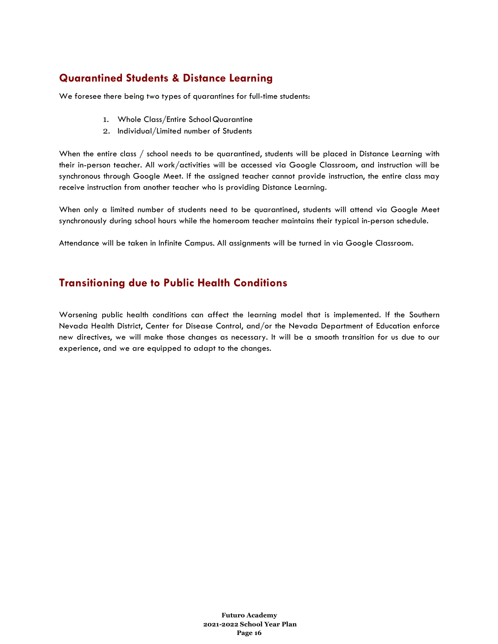# **Quarantined Students & Distance Learning**

We foresee there being two types of quarantines for full-time students:

- 1. Whole Class/Entire School Quarantine
- 2. Individual/Limited number of Students

When the entire class / school needs to be quarantined, students will be placed in Distance Learning with their in-person teacher. All work/activities will be accessed via Google Classroom, and instruction will be synchronous through Google Meet. If the assigned teacher cannot provide instruction, the entire class may receive instruction from another teacher who is providing Distance Learning.

When only a limited number of students need to be quarantined, students will attend via Google Meet synchronously during school hours while the homeroom teacher maintains their typical in-person schedule.

Attendance will be taken in Infinite Campus. All assignments will be turned in via Google Classroom.

## **Transitioning due to Public Health Conditions**

Worsening public health conditions can affect the learning model that is implemented. If the Southern Nevada Health District, Center for Disease Control, and/or the Nevada Department of Education enforce new directives, we will make those changes as necessary. It will be a smooth transition for us due to our experience, and we are equipped to adapt to the changes.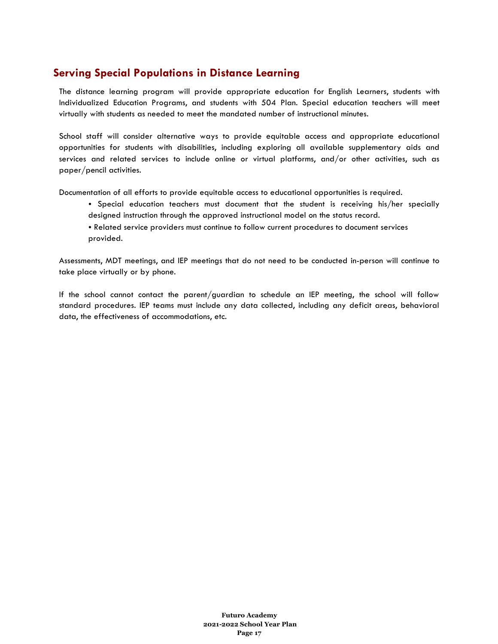# **Serving Special Populations in Distance Learning**

The distance learning program will provide appropriate education for English Learners, students with Individualized Education Programs, and students with 504 Plan. Special education teachers will meet virtually with students as needed to meet the mandated number of instructional minutes.

School staff will consider alternative ways to provide equitable access and appropriate educational opportunities for students with disabilities, including exploring all available supplementary aids and services and related services to include online or virtual platforms, and/or other activities, such as paper/pencil activities.

Documentation of all efforts to provide equitable access to educational opportunities is required.

- Special education teachers must document that the student is receiving his/her specially designed instruction through the approved instructional model on the status record.
- Related service providers must continue to follow current procedures to document services provided.

Assessments, MDT meetings, and IEP meetings that do not need to be conducted in-person will continue to take place virtually or by phone.

If the school cannot contact the parent/guardian to schedule an IEP meeting, the school will follow standard procedures. IEP teams must include any data collected, including any deficit areas, behavioral data, the effectiveness of accommodations, etc.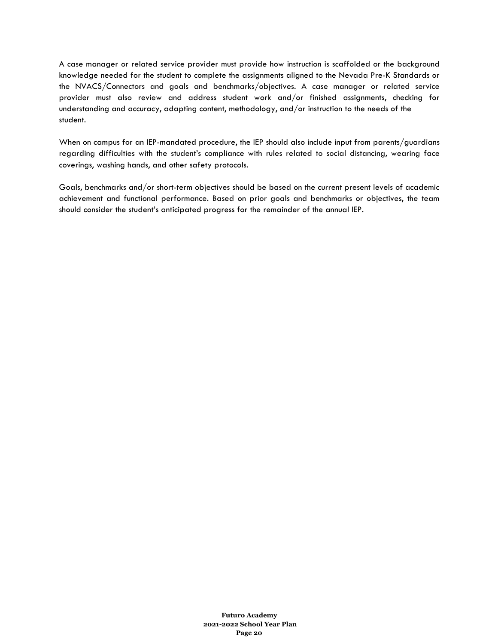A case manager or related service provider must provide how instruction is scaffolded or the background knowledge needed for the student to complete the assignments aligned to the Nevada Pre-K Standards or the NVACS/Connectors and goals and benchmarks/objectives. A case manager or related service provider must also review and address student work and/or finished assignments, checking for understanding and accuracy, adapting content, methodology, and/or instruction to the needs of the student.

When on campus for an IEP-mandated procedure, the IEP should also include input from parents/guardians regarding difficulties with the student's compliance with rules related to social distancing, wearing face coverings, washing hands, and other safety protocols.

Goals, benchmarks and/or short-term objectives should be based on the current present levels of academic achievement and functional performance. Based on prior goals and benchmarks or objectives, the team should consider the student's anticipated progress for the remainder of the annual IEP.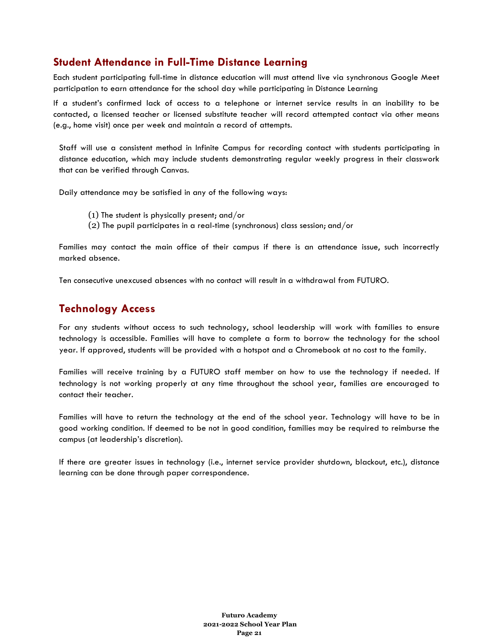## **Student Attendance in Full-Time Distance Learning**

Each student participating full-time in distance education will must attend live via synchronous Google Meet participation to earn attendance for the school day while participating in Distance Learning

If a student's confirmed lack of access to a telephone or internet service results in an inability to be contacted, a licensed teacher or licensed substitute teacher will record attempted contact via other means (e.g., home visit) once per week and maintain a record of attempts.

Staff will use a consistent method in Infinite Campus for recording contact with students participating in distance education, which may include students demonstrating regular weekly progress in their classwork that can be verified through Canvas.

Daily attendance may be satisfied in any of the following ways:

- (1) The student is physically present; and/or
- (2) The pupil participates in a real-time (synchronous) class session; and/or

Families may contact the main office of their campus if there is an attendance issue, such incorrectly marked absence.

Ten consecutive unexcused absences with no contact will result in a withdrawal from FUTURO.

### **Technology Access**

For any students without access to such technology, school leadership will work with families to ensure technology is accessible. Families will have to complete a form to borrow the technology for the school year. If approved, students will be provided with a hotspot and a Chromebook at no cost to the family.

Families will receive training by a FUTURO staff member on how to use the technology if needed. If technology is not working properly at any time throughout the school year, families are encouraged to contact their teacher.

Families will have to return the technology at the end of the school year. Technology will have to be in good working condition. If deemed to be not in good condition, families may be required to reimburse the campus (at leadership's discretion).

If there are greater issues in technology (i.e., internet service provider shutdown, blackout, etc.), distance learning can be done through paper correspondence.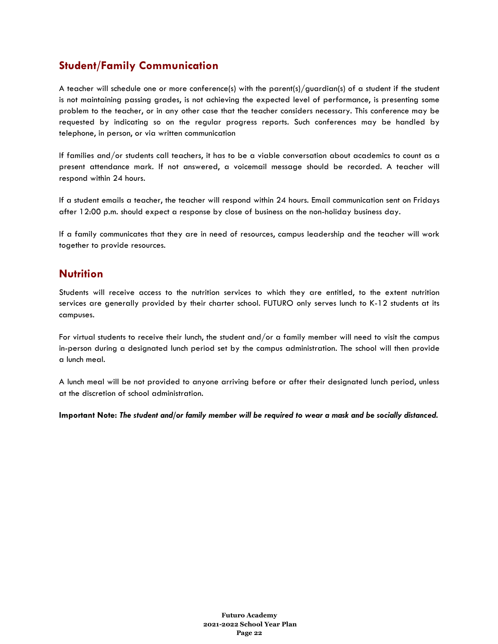## **Student/Family Communication**

A teacher will schedule one or more conference(s) with the parent(s)/guardian(s) of a student if the student is not maintaining passing grades, is not achieving the expected level of performance, is presenting some problem to the teacher, or in any other case that the teacher considers necessary. This conference may be requested by indicating so on the regular progress reports. Such conferences may be handled by telephone, in person, or via written communication

If families and/or students call teachers, it has to be a viable conversation about academics to count as a present attendance mark. If not answered, a voicemail message should be recorded. A teacher will respond within 24 hours.

If a student emails a teacher, the teacher will respond within 24 hours. Email communication sent on Fridays after 12:00 p.m. should expect a response by close of business on the non-holiday business day.

If a family communicates that they are in need of resources, campus leadership and the teacher will work together to provide resources.

### **Nutrition**

Students will receive access to the nutrition services to which they are entitled, to the extent nutrition services are generally provided by their charter school. FUTURO only serves lunch to K-12 students at its campuses.

For virtual students to receive their lunch, the student and/or a family member will need to visit the campus in-person during a designated lunch period set by the campus administration. The school will then provide a lunch meal.

A lunch meal will be not provided to anyone arriving before or after their designated lunch period, unless at the discretion of school administration.

**Important Note:** *The student and/or family member will be required to wear a mask and be socially distanced.*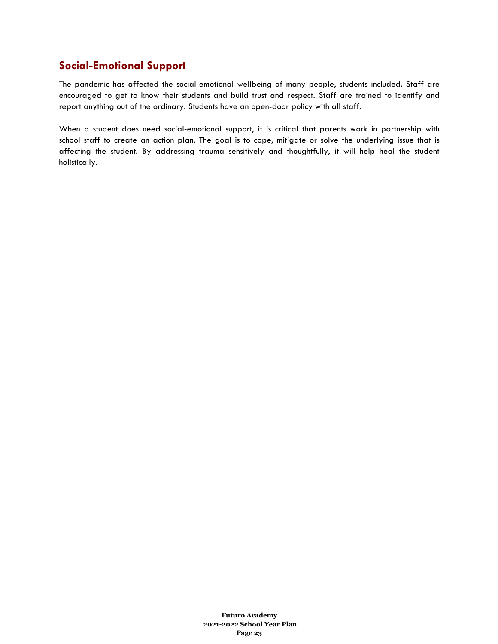## **Social-Emotional Support**

The pandemic has affected the social-emotional wellbeing of many people, students included. Staff are encouraged to get to know their students and build trust and respect. Staff are trained to identify and report anything out of the ordinary. Students have an open-door policy with all staff.

When a student does need social-emotional support, it is critical that parents work in partnership with school staff to create an action plan. The goal is to cope, mitigate or solve the underlying issue that is affecting the student. By addressing trauma sensitively and thoughtfully, it will help heal the student holistically.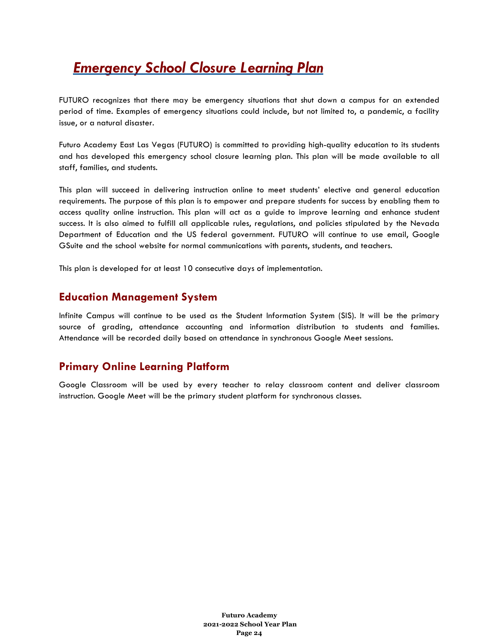# *Emergency School Closure Learning Plan*

FUTURO recognizes that there may be emergency situations that shut down a campus for an extended period of time. Examples of emergency situations could include, but not limited to, a pandemic, a facility issue, or a natural disaster.

Futuro Academy East Las Vegas (FUTURO) is committed to providing high-quality education to its students and has developed this emergency school closure learning plan. This plan will be made available to all staff, families, and students.

This plan will succeed in delivering instruction online to meet students' elective and general education requirements. The purpose of this plan is to empower and prepare students for success by enabling them to access quality online instruction. This plan will act as a guide to improve learning and enhance student success. It is also aimed to fulfill all applicable rules, regulations, and policies stipulated by the Nevada Department of Education and the US federal government. FUTURO will continue to use email, Google GSuite and the school website for normal communications with parents, students, and teachers.

This plan is developed for at least 10 consecutive days of implementation.

### **Education Management System**

Infinite Campus will continue to be used as the Student Information System (SIS). It will be the primary source of grading, attendance accounting and information distribution to students and families. Attendance will be recorded daily based on attendance in synchronous Google Meet sessions.

### **Primary Online Learning Platform**

Google Classroom will be used by every teacher to relay classroom content and deliver classroom instruction. Google Meet will be the primary student platform for synchronous classes.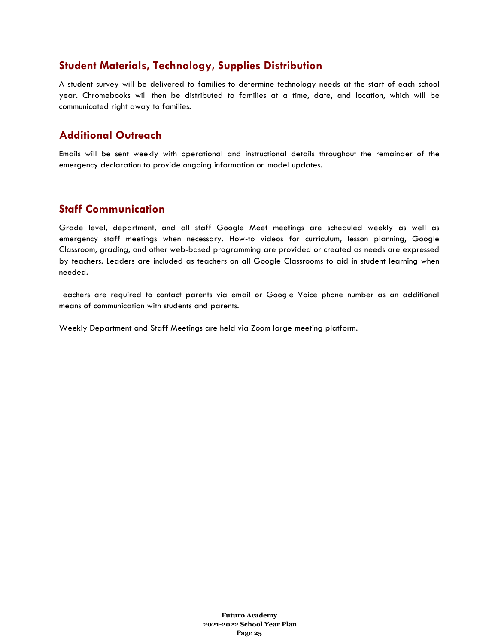### **Student Materials, Technology, Supplies Distribution**

A student survey will be delivered to families to determine technology needs at the start of each school year. Chromebooks will then be distributed to families at a time, date, and location, which will be communicated right away to families.

### **Additional Outreach**

Emails will be sent weekly with operational and instructional details throughout the remainder of the emergency declaration to provide ongoing information on model updates.

### **Staff Communication**

Grade level, department, and all staff Google Meet meetings are scheduled weekly as well as emergency staff meetings when necessary. How-to videos for curriculum, lesson planning, Google Classroom, grading, and other web-based programming are provided or created as needs are expressed by teachers. Leaders are included as teachers on all Google Classrooms to aid in student learning when needed.

Teachers are required to contact parents via email or Google Voice phone number as an additional means of communication with students and parents.

Weekly Department and Staff Meetings are held via Zoom large meeting platform.